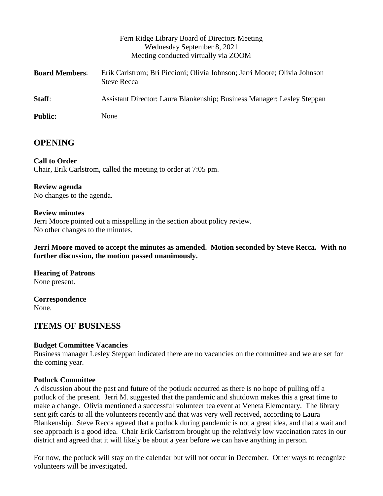|                       | Fern Ridge Library Board of Directors Meeting<br>Wednesday September 8, 2021                    |
|-----------------------|-------------------------------------------------------------------------------------------------|
|                       | Meeting conducted virtually via ZOOM                                                            |
| <b>Board Members:</b> | Erik Carlstrom; Bri Piccioni; Olivia Johnson; Jerri Moore; Olivia Johnson<br><b>Steve Recca</b> |
| Staff:                | Assistant Director: Laura Blankenship; Business Manager: Lesley Steppan                         |
| <b>Public:</b>        | None                                                                                            |

## **OPENING**

**Call to Order** Chair, Erik Carlstrom, called the meeting to order at 7:05 pm.

**Review agenda** No changes to the agenda.

#### **Review minutes**

Jerri Moore pointed out a misspelling in the section about policy review. No other changes to the minutes.

**Jerri Moore moved to accept the minutes as amended. Motion seconded by Steve Recca. With no further discussion, the motion passed unanimously.**

**Hearing of Patrons** None present.

**Correspondence** None.

### **ITEMS OF BUSINESS**

#### **Budget Committee Vacancies**

Business manager Lesley Steppan indicated there are no vacancies on the committee and we are set for the coming year.

#### **Potluck Committee**

A discussion about the past and future of the potluck occurred as there is no hope of pulling off a potluck of the present. Jerri M. suggested that the pandemic and shutdown makes this a great time to make a change. Olivia mentioned a successful volunteer tea event at Veneta Elementary. The library sent gift cards to all the volunteers recently and that was very well received, according to Laura Blankenship. Steve Recca agreed that a potluck during pandemic is not a great idea, and that a wait and see approach is a good idea. Chair Erik Carlstrom brought up the relatively low vaccination rates in our district and agreed that it will likely be about a year before we can have anything in person.

For now, the potluck will stay on the calendar but will not occur in December. Other ways to recognize volunteers will be investigated.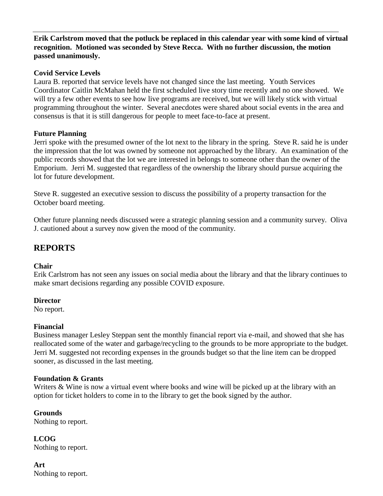**Erik Carlstrom moved that the potluck be replaced in this calendar year with some kind of virtual recognition. Motioned was seconded by Steve Recca. With no further discussion, the motion passed unanimously.**

#### **Covid Service Levels**

Laura B. reported that service levels have not changed since the last meeting. Youth Services Coordinator Caitlin McMahan held the first scheduled live story time recently and no one showed. We will try a few other events to see how live programs are received, but we will likely stick with virtual programming throughout the winter. Several anecdotes were shared about social events in the area and consensus is that it is still dangerous for people to meet face-to-face at present.

#### **Future Planning**

Jerri spoke with the presumed owner of the lot next to the library in the spring. Steve R. said he is under the impression that the lot was owned by someone not approached by the library. An examination of the public records showed that the lot we are interested in belongs to someone other than the owner of the Emporium. Jerri M. suggested that regardless of the ownership the library should pursue acquiring the lot for future development.

Steve R. suggested an executive session to discuss the possibility of a property transaction for the October board meeting.

Other future planning needs discussed were a strategic planning session and a community survey. Oliva J. cautioned about a survey now given the mood of the community.

# **REPORTS**

#### **Chair**

Erik Carlstrom has not seen any issues on social media about the library and that the library continues to make smart decisions regarding any possible COVID exposure.

#### **Director**

No report.

#### **Financial**

Business manager Lesley Steppan sent the monthly financial report via e-mail, and showed that she has reallocated some of the water and garbage/recycling to the grounds to be more appropriate to the budget. Jerri M. suggested not recording expenses in the grounds budget so that the line item can be dropped sooner, as discussed in the last meeting.

#### **Foundation & Grants**

Writers & Wine is now a virtual event where books and wine will be picked up at the library with an option for ticket holders to come in to the library to get the book signed by the author.

### **Grounds**

Nothing to report.

**LCOG** Nothing to report.

#### **Art** Nothing to report.